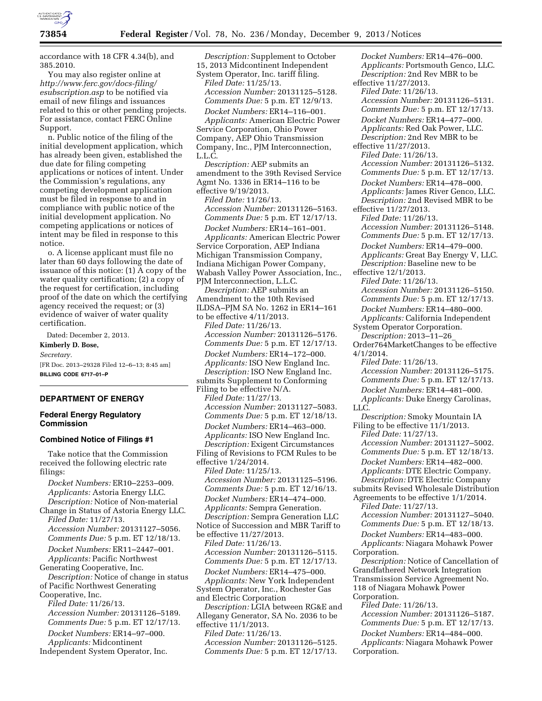

accordance with 18 CFR 4.34(b), and 385.2010.

You may also register online at *[http://www.ferc.gov/docs-filing/](http://www.ferc.gov/docs-filing/esubscription.asp) [esubscription.asp](http://www.ferc.gov/docs-filing/esubscription.asp)* to be notified via email of new filings and issuances related to this or other pending projects. For assistance, contact FERC Online Support.

n. Public notice of the filing of the initial development application, which has already been given, established the due date for filing competing applications or notices of intent. Under the Commission's regulations, any competing development application must be filed in response to and in compliance with public notice of the initial development application. No competing applications or notices of intent may be filed in response to this notice.

o. A license applicant must file no later than 60 days following the date of issuance of this notice: (1) A copy of the water quality certification; (2) a copy of the request for certification, including proof of the date on which the certifying agency received the request; or (3) evidence of waiver of water quality certification.

Dated: December 2, 2013. **Kimberly D. Bose,**  *Secretary.*  [FR Doc. 2013–29328 Filed 12–6–13; 8:45 am] **BILLING CODE 6717–01–P** 

## **DEPARTMENT OF ENERGY**

### **Federal Energy Regulatory Commission**

#### **Combined Notice of Filings #1**

Take notice that the Commission received the following electric rate filings:

*Docket Numbers:* ER10–2253–009. *Applicants:* Astoria Energy LLC. *Description:* Notice of Non-material Change in Status of Astoria Energy LLC.

*Filed Date:* 11/27/13. *Accession Number:* 20131127–5056. *Comments Due:* 5 p.m. ET 12/18/13.

*Docket Numbers:* ER11–2447–001. *Applicants:* Pacific Northwest Generating Cooperative, Inc.

*Description:* Notice of change in status of Pacific Northwest Generating Cooperative, Inc.

*Filed Date:* 11/26/13. *Accession Number:* 20131126–5189. *Comments Due:* 5 p.m. ET 12/17/13. *Docket Numbers:* ER14–97–000. *Applicants:* Midcontinent

Independent System Operator, Inc.

*Description:* Supplement to October 15, 2013 Midcontinent Independent System Operator, Inc. tariff filing. *Filed Date:* 11/25/13. *Accession Number:* 20131125–5128. *Comments Due:* 5 p.m. ET 12/9/13. *Docket Numbers:* ER14–116–001.

*Applicants:* American Electric Power Service Corporation, Ohio Power Company, AEP Ohio Transmission Company, Inc., PJM Interconnection, L.L.C.

*Description:* AEP submits an amendment to the 39th Revised Service Agmt No. 1336 in ER14–116 to be effective 9/19/2013.

*Filed Date:* 11/26/13. *Accession Number:* 20131126–5163. *Comments Due:* 5 p.m. ET 12/17/13. *Docket Numbers:* ER14–161–001.

*Applicants:* American Electric Power Service Corporation, AEP Indiana Michigan Transmission Company, Indiana Michigan Power Company, Wabash Valley Power Association, Inc., PJM Interconnection, L.L.C.

*Description:* AEP submits an Amendment to the 10th Revised ILDSA–PJM SA No. 1262 in ER14–161 to be effective 4/11/2013. *Filed Date:* 11/26/13. *Accession Number:* 20131126–5176. *Comments Due:* 5 p.m. ET 12/17/13. *Docket Numbers:* ER14–172–000. *Applicants:* ISO New England Inc. *Description:* ISO New England Inc. submits Supplement to Conforming Filing to be effective N/A. *Filed Date:* 11/27/13. *Accession Number:* 20131127–5083. *Comments Due:* 5 p.m. ET 12/18/13. *Docket Numbers:* ER14–463–000. *Applicants:* ISO New England Inc. *Description:* Exigent Circumstances Filing of Revisions to FCM Rules to be effective 1/24/2014. *Filed Date:* 11/25/13. *Accession Number:* 20131125–5196. *Comments Due:* 5 p.m. ET 12/16/13. *Docket Numbers:* ER14–474–000. *Applicants:* Sempra Generation. *Description:* Sempra Generation LLC Notice of Succession and MBR Tariff to be effective 11/27/2013. *Filed Date:* 11/26/13. *Accession Number:* 20131126–5115. *Comments Due:* 5 p.m. ET 12/17/13. *Docket Numbers:* ER14–475–000. *Applicants:* New York Independent System Operator, Inc., Rochester Gas and Electric Corporation *Description:* LGIA between RG&E and Allegany Generator, SA No. 2036 to be effective 11/1/2013. *Filed Date:* 11/26/13. *Accession Number:* 20131126–5125. *Comments Due:* 5 p.m. ET 12/17/13.

*Docket Numbers:* ER14–476–000. *Applicants:* Portsmouth Genco, LLC. *Description:* 2nd Rev MBR to be effective 11/27/2013. *Filed Date:* 11/26/13. *Accession Number:* 20131126–5131. *Comments Due:* 5 p.m. ET 12/17/13. *Docket Numbers:* ER14–477–000. *Applicants:* Red Oak Power, LLC. *Description:* 2nd Rev MBR to be effective 11/27/2013. *Filed Date:* 11/26/13. *Accession Number:* 20131126–5132. *Comments Due:* 5 p.m. ET 12/17/13. *Docket Numbers:* ER14–478–000. *Applicants:* James River Genco, LLC. *Description:* 2nd Revised MBR to be effective 11/27/2013. *Filed Date:* 11/26/13. *Accession Number:* 20131126–5148. *Comments Due:* 5 p.m. ET 12/17/13. *Docket Numbers:* ER14–479–000. *Applicants:* Great Bay Energy V, LLC. *Description:* Baseline new to be effective 12/1/2013. *Filed Date:* 11/26/13. *Accession Number:* 20131126–5150. *Comments Due:* 5 p.m. ET 12/17/13. *Docket Numbers:* ER14–480–000. *Applicants:* California Independent System Operator Corporation. *Description:* 2013–11–26\_ Order764MarketChanges to be effective 4/1/2014. *Filed Date:* 11/26/13. *Accession Number:* 20131126–5175. *Comments Due:* 5 p.m. ET 12/17/13. *Docket Numbers:* ER14–481–000. *Applicants:* Duke Energy Carolinas, LLC. *Description:* Smoky Mountain IA Filing to be effective 11/1/2013. *Filed Date:* 11/27/13. *Accession Number:* 20131127–5002. *Comments Due:* 5 p.m. ET 12/18/13. *Docket Numbers:* ER14–482–000. *Applicants:* DTE Electric Company. *Description:* DTE Electric Company submits Revised Wholesale Distribution Agreements to be effective 1/1/2014. *Filed Date:* 11/27/13. *Accession Number:* 20131127–5040. *Comments Due:* 5 p.m. ET 12/18/13. *Docket Numbers:* ER14–483–000. *Applicants:* Niagara Mohawk Power Corporation. *Description:* Notice of Cancellation of Grandfathered Network Integration Transmission Service Agreement No. 118 of Niagara Mohawk Power Corporation. *Filed Date:* 11/26/13. *Accession Number:* 20131126–5187. *Comments Due:* 5 p.m. ET 12/17/13. *Docket Numbers:* ER14–484–000. *Applicants:* Niagara Mohawk Power Corporation.